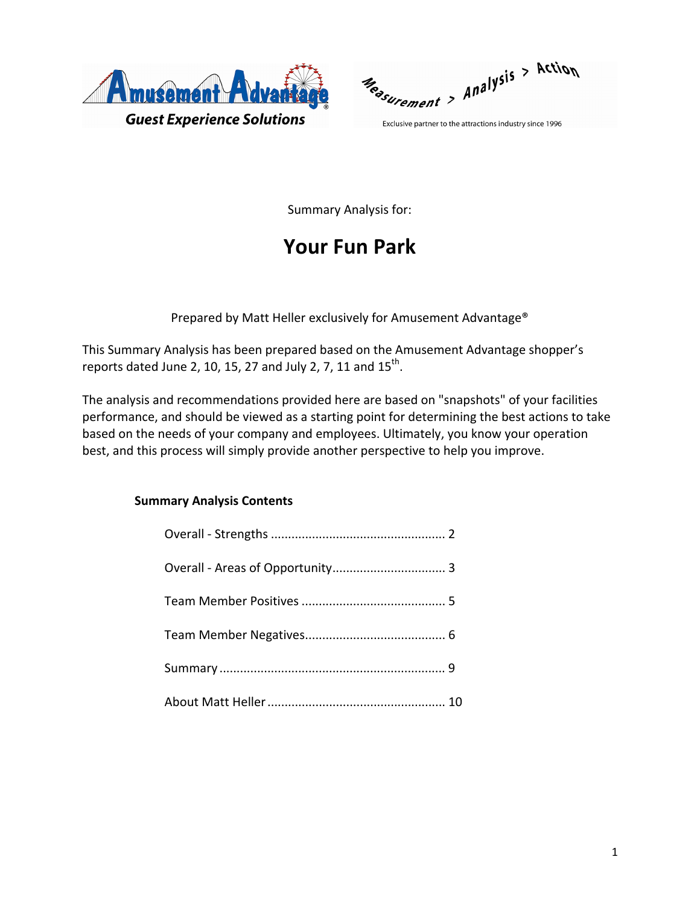

Reasurement > Analysis > Action

Exclusive partner to the attractions industry since 1996

Summary Analysis for:

# **Your Fun Park**

Prepared by Matt Heller exclusively for Amusement Advantage®

This Summary Analysis has been prepared based on the Amusement Advantage shopper's reports dated June 2, 10, 15, 27 and July 2, 7, 11 and  $15^{th}$ .

The analysis and recommendations provided here are based on "snapshots" of your facilities performance, and should be viewed as a starting point for determining the best actions to take based on the needs of your company and employees. Ultimately, you know your operation best, and this process will simply provide another perspective to help you improve.

## **Summary Analysis Contents**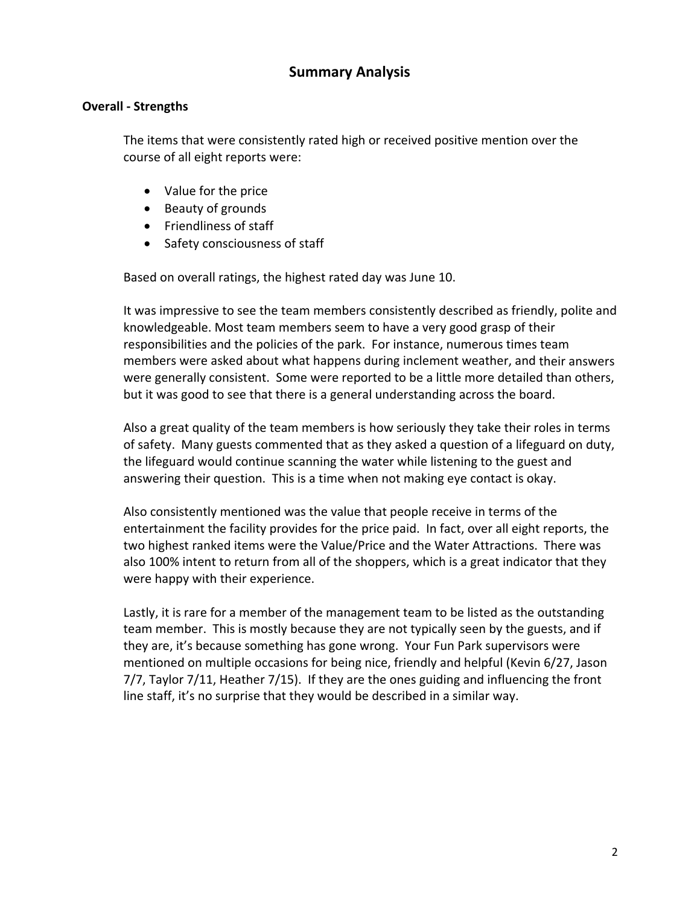## **Summary Analysis**

### **Overall ‐ Strengths**

The items that were consistently rated high or received positive mention over the course of all eight reports were:

- Value for the price
- Beauty of grounds
- Friendliness of staff
- Safety consciousness of staff

Based on overall ratings, the highest rated day was June 10.

It was impressive to see the team members consistently described as friendly, polite and knowledgeable. Most team members seem to have a very good grasp of their responsibilities and the policies of the park. For instance, numerous times team members were asked about what happens during inclement weather, and their answers were generally consistent. Some were reported to be a little more detailed than others, but it was good to see that there is a general understanding across the board.

Also a great quality of the team members is how seriously they take their roles in terms of safety. Many guests commented that as they asked a question of a lifeguard on duty, the lifeguard would continue scanning the water while listening to the guest and answering their question. This is a time when not making eye contact is okay.

Also consistently mentioned was the value that people receive in terms of the entertainment the facility provides for the price paid. In fact, over all eight reports, the two highest ranked items were the Value/Price and the Water Attractions. There was also 100% intent to return from all of the shoppers, which is a great indicator that they were happy with their experience.

Lastly, it is rare for a member of the management team to be listed as the outstanding team member. This is mostly because they are not typically seen by the guests, and if they are, it's because something has gone wrong. Your Fun Park supervisors were mentioned on multiple occasions for being nice, friendly and helpful (Kevin 6/27, Jason 7/7, Taylor 7/11, Heather 7/15). If they are the ones guiding and influencing the front line staff, it's no surprise that they would be described in a similar way.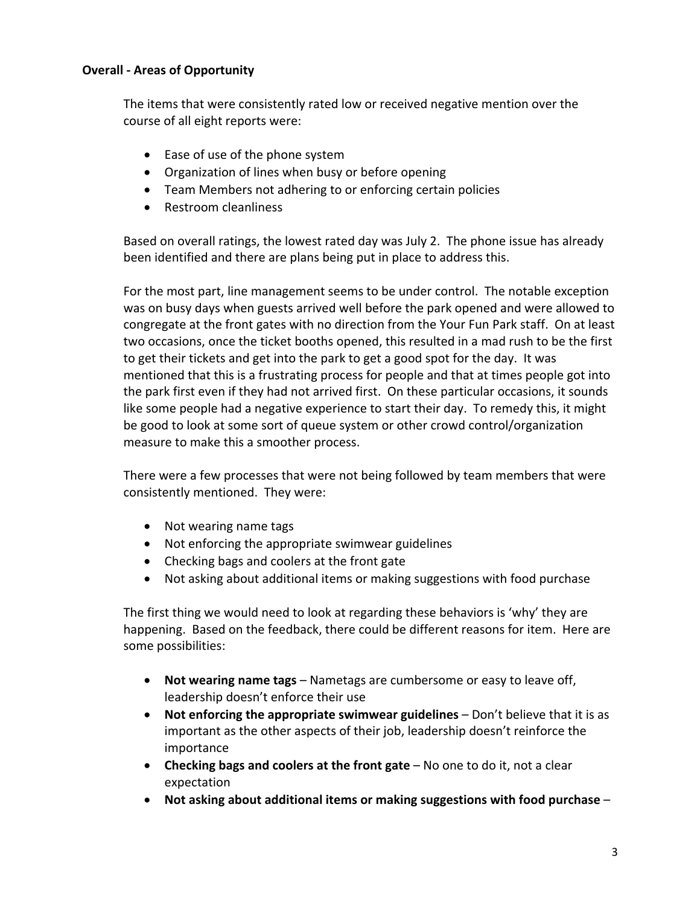## **Overall ‐ Areas of Opportunity**

The items that were consistently rated low or received negative mention over the course of all eight reports were:

- Ease of use of the phone system
- Organization of lines when busy or before opening
- Team Members not adhering to or enforcing certain policies
- Restroom cleanliness

Based on overall ratings, the lowest rated day was July 2. The phone issue has already been identified and there are plans being put in place to address this.

For the most part, line management seems to be under control. The notable exception was on busy days when guests arrived well before the park opened and were allowed to congregate at the front gates with no direction from the Your Fun Park staff. On at least two occasions, once the ticket booths opened, this resulted in a mad rush to be the first to get their tickets and get into the park to get a good spot for the day. It was mentioned that this is a frustrating process for people and that at times people got into the park first even if they had not arrived first. On these particular occasions, it sounds like some people had a negative experience to start their day. To remedy this, it might be good to look at some sort of queue system or other crowd control/organization measure to make this a smoother process.

There were a few processes that were not being followed by team members that were consistently mentioned. They were:

- Not wearing name tags
- Not enforcing the appropriate swimwear guidelines
- Checking bags and coolers at the front gate
- Not asking about additional items or making suggestions with food purchase

The first thing we would need to look at regarding these behaviors is 'why' they are happening. Based on the feedback, there could be different reasons for item. Here are some possibilities:

- **Not wearing name tags** Nametags are cumbersome or easy to leave off, leadership doesn't enforce their use
- **Not enforcing the appropriate swimwear guidelines** Don't believe that it is as important as the other aspects of their job, leadership doesn't reinforce the importance
- **Checking bags and coolers at the front gate** No one to do it, not a clear expectation
- **Not asking about additional items or making suggestions with food purchase** –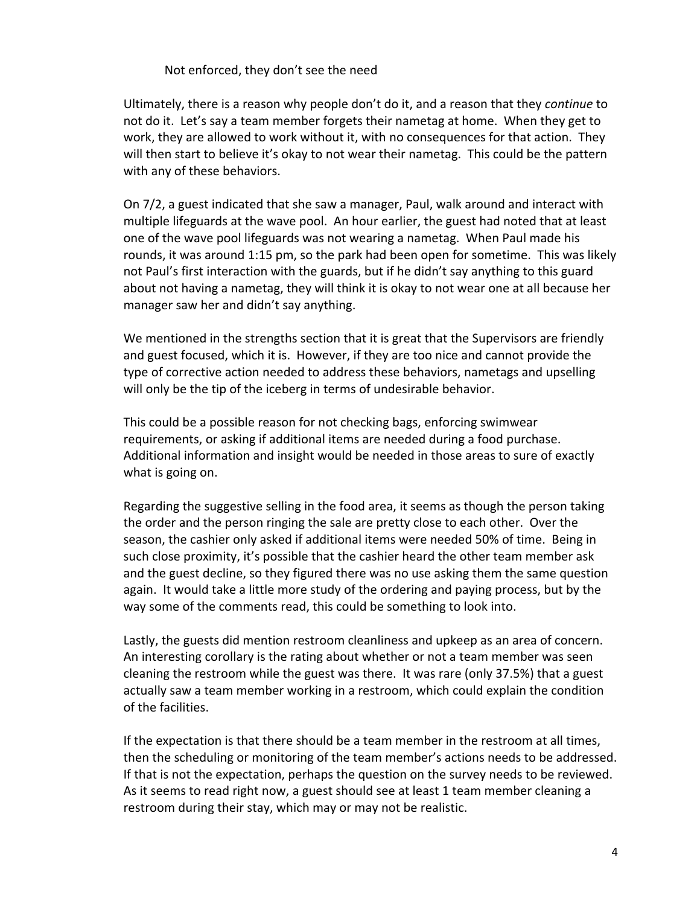#### Not enforced, they don't see the need

Ultimately, there is a reason why people don't do it, and a reason that they *continue* to not do it. Let's say a team member forgets their nametag at home. When they get to work, they are allowed to work without it, with no consequences for that action. They will then start to believe it's okay to not wear their nametag. This could be the pattern with any of these behaviors.

On 7/2, a guest indicated that she saw a manager, Paul, walk around and interact with multiple lifeguards at the wave pool. An hour earlier, the guest had noted that at least one of the wave pool lifeguards was not wearing a nametag. When Paul made his rounds, it was around 1:15 pm, so the park had been open for sometime. This was likely not Paul's first interaction with the guards, but if he didn't say anything to this guard about not having a nametag, they will think it is okay to not wear one at all because her manager saw her and didn't say anything.

We mentioned in the strengths section that it is great that the Supervisors are friendly and guest focused, which it is. However, if they are too nice and cannot provide the type of corrective action needed to address these behaviors, nametags and upselling will only be the tip of the iceberg in terms of undesirable behavior.

This could be a possible reason for not checking bags, enforcing swimwear requirements, or asking if additional items are needed during a food purchase. Additional information and insight would be needed in those areas to sure of exactly what is going on.

Regarding the suggestive selling in the food area, it seems as though the person taking the order and the person ringing the sale are pretty close to each other. Over the season, the cashier only asked if additional items were needed 50% of time. Being in such close proximity, it's possible that the cashier heard the other team member ask and the guest decline, so they figured there was no use asking them the same question again. It would take a little more study of the ordering and paying process, but by the way some of the comments read, this could be something to look into.

Lastly, the guests did mention restroom cleanliness and upkeep as an area of concern. An interesting corollary is the rating about whether or not a team member was seen cleaning the restroom while the guest was there. It was rare (only 37.5%) that a guest actually saw a team member working in a restroom, which could explain the condition of the facilities.

If the expectation is that there should be a team member in the restroom at all times, then the scheduling or monitoring of the team member's actions needs to be addressed. If that is not the expectation, perhaps the question on the survey needs to be reviewed. As it seems to read right now, a guest should see at least 1 team member cleaning a restroom during their stay, which may or may not be realistic.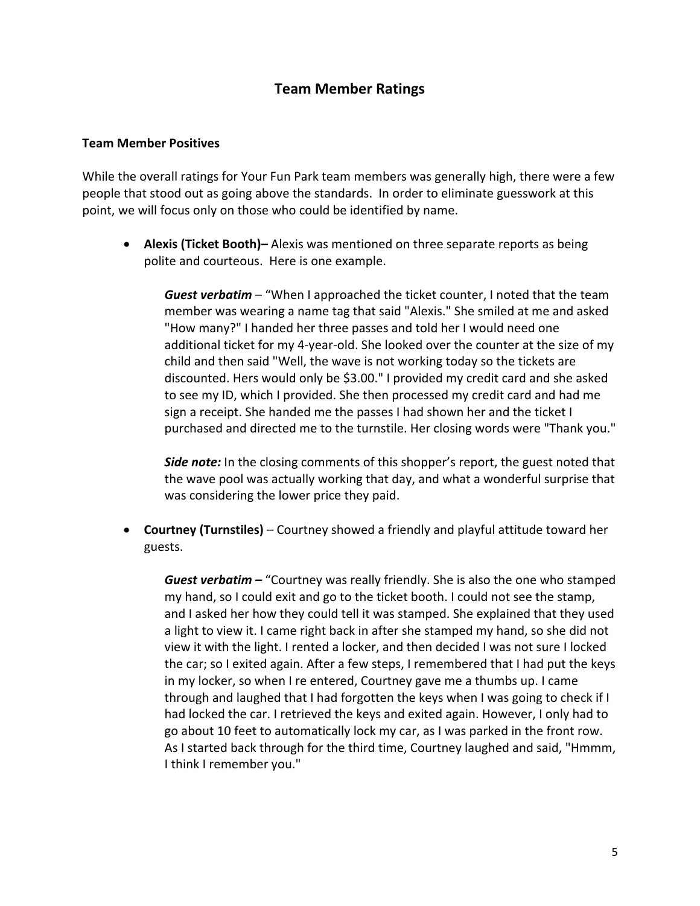# **Team Member Ratings**

#### **Team Member Positives**

While the overall ratings for Your Fun Park team members was generally high, there were a few people that stood out as going above the standards. In order to eliminate guesswork at this point, we will focus only on those who could be identified by name.

• **Alexis (Ticket Booth)–** Alexis was mentioned on three separate reports as being polite and courteous. Here is one example.

*Guest verbatim* – "When I approached the ticket counter, I noted that the team member was wearing a name tag that said "Alexis." She smiled at me and asked "How many?" I handed her three passes and told her I would need one additional ticket for my 4‐year‐old. She looked over the counter at the size of my child and then said "Well, the wave is not working today so the tickets are discounted. Hers would only be \$3.00." I provided my credit card and she asked to see my ID, which I provided. She then processed my credit card and had me sign a receipt. She handed me the passes I had shown her and the ticket I purchased and directed me to the turnstile. Her closing words were "Thank you."

*Side note:* In the closing comments of this shopper's report, the guest noted that the wave pool was actually working that day, and what a wonderful surprise that was considering the lower price they paid.

• **Courtney (Turnstiles)** – Courtney showed a friendly and playful attitude toward her guests.

*Guest verbatim –* "Courtney was really friendly. She is also the one who stamped my hand, so I could exit and go to the ticket booth. I could not see the stamp, and I asked her how they could tell it was stamped. She explained that they used a light to view it. I came right back in after she stamped my hand, so she did not view it with the light. I rented a locker, and then decided I was not sure I locked the car; so I exited again. After a few steps, I remembered that I had put the keys in my locker, so when I re entered, Courtney gave me a thumbs up. I came through and laughed that I had forgotten the keys when I was going to check if I had locked the car. I retrieved the keys and exited again. However, I only had to go about 10 feet to automatically lock my car, as I was parked in the front row. As I started back through for the third time, Courtney laughed and said, "Hmmm, I think I remember you."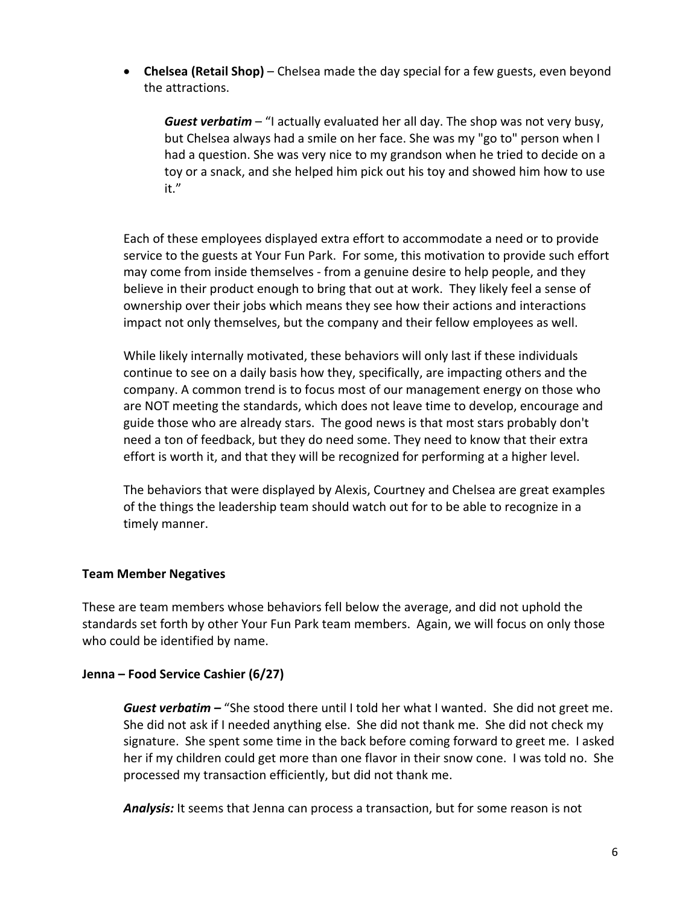• **Chelsea (Retail Shop)** – Chelsea made the day special for a few guests, even beyond the attractions.

*Guest verbatim* – "I actually evaluated her all day. The shop was not very busy, but Chelsea always had a smile on her face. She was my "go to" person when I had a question. She was very nice to my grandson when he tried to decide on a toy or a snack, and she helped him pick out his toy and showed him how to use it."

Each of these employees displayed extra effort to accommodate a need or to provide service to the guests at Your Fun Park. For some, this motivation to provide such effort may come from inside themselves ‐ from a genuine desire to help people, and they believe in their product enough to bring that out at work. They likely feel a sense of ownership over their jobs which means they see how their actions and interactions impact not only themselves, but the company and their fellow employees as well.

While likely internally motivated, these behaviors will only last if these individuals continue to see on a daily basis how they, specifically, are impacting others and the company. A common trend is to focus most of our management energy on those who are NOT meeting the standards, which does not leave time to develop, encourage and guide those who are already stars. The good news is that most stars probably don't need a ton of feedback, but they do need some. They need to know that their extra effort is worth it, and that they will be recognized for performing at a higher level.

The behaviors that were displayed by Alexis, Courtney and Chelsea are great examples of the things the leadership team should watch out for to be able to recognize in a timely manner.

## **Team Member Negatives**

These are team members whose behaviors fell below the average, and did not uphold the standards set forth by other Your Fun Park team members. Again, we will focus on only those who could be identified by name.

#### **Jenna – Food Service Cashier (6/27)**

*Guest verbatim –* "She stood there until I told her what I wanted. She did not greet me. She did not ask if I needed anything else. She did not thank me. She did not check my signature. She spent some time in the back before coming forward to greet me. I asked her if my children could get more than one flavor in their snow cone. I was told no. She processed my transaction efficiently, but did not thank me.

*Analysis:* It seems that Jenna can process a transaction, but for some reason is not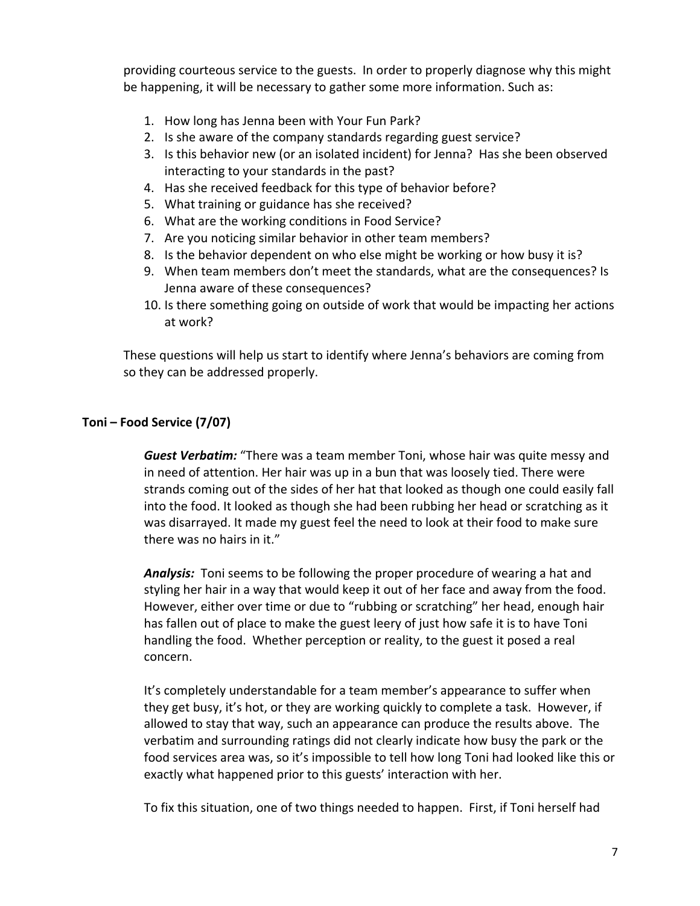providing courteous service to the guests. In order to properly diagnose why this might be happening, it will be necessary to gather some more information. Such as:

- 1. How long has Jenna been with Your Fun Park?
- 2. Is she aware of the company standards regarding guest service?
- 3. Is this behavior new (or an isolated incident) for Jenna? Has she been observed interacting to your standards in the past?
- 4. Has she received feedback for this type of behavior before?
- 5. What training or guidance has she received?
- 6. What are the working conditions in Food Service?
- 7. Are you noticing similar behavior in other team members?
- 8. Is the behavior dependent on who else might be working or how busy it is?
- 9. When team members don't meet the standards, what are the consequences? Is Jenna aware of these consequences?
- 10. Is there something going on outside of work that would be impacting her actions at work?

These questions will help us start to identify where Jenna's behaviors are coming from so they can be addressed properly.

## **Toni – Food Service (7/07)**

*Guest Verbatim:* "There was a team member Toni, whose hair was quite messy and in need of attention. Her hair was up in a bun that was loosely tied. There were strands coming out of the sides of her hat that looked as though one could easily fall into the food. It looked as though she had been rubbing her head or scratching as it was disarrayed. It made my guest feel the need to look at their food to make sure there was no hairs in it."

*Analysis:* Toni seems to be following the proper procedure of wearing a hat and styling her hair in a way that would keep it out of her face and away from the food. However, either over time or due to "rubbing or scratching" her head, enough hair has fallen out of place to make the guest leery of just how safe it is to have Toni handling the food. Whether perception or reality, to the guest it posed a real concern.

It's completely understandable for a team member's appearance to suffer when they get busy, it's hot, or they are working quickly to complete a task. However, if allowed to stay that way, such an appearance can produce the results above. The verbatim and surrounding ratings did not clearly indicate how busy the park or the food services area was, so it's impossible to tell how long Toni had looked like this or exactly what happened prior to this guests' interaction with her.

To fix this situation, one of two things needed to happen. First, if Toni herself had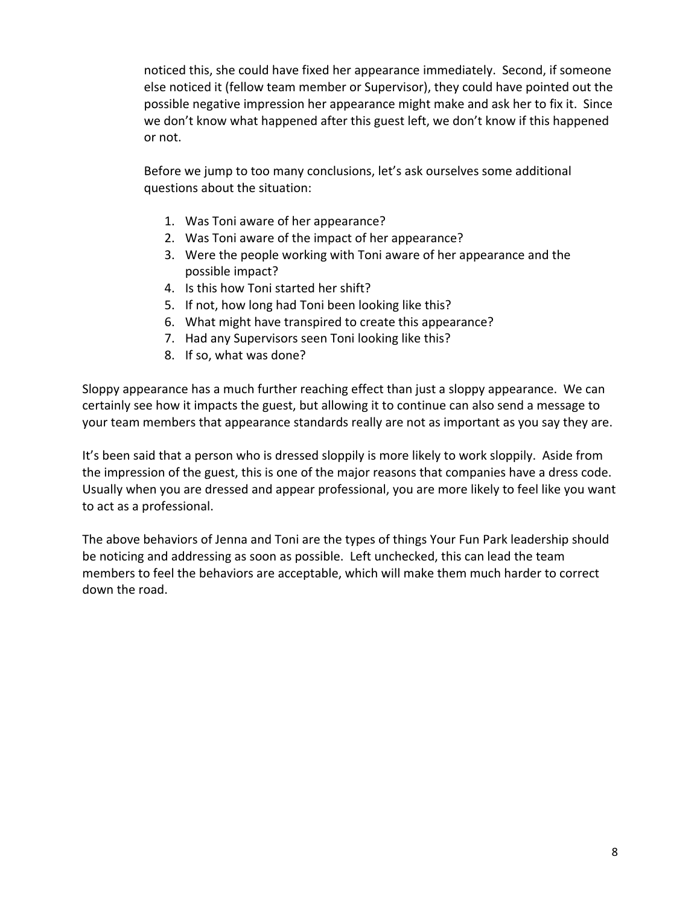noticed this, she could have fixed her appearance immediately. Second, if someone else noticed it (fellow team member or Supervisor), they could have pointed out the possible negative impression her appearance might make and ask her to fix it. Since we don't know what happened after this guest left, we don't know if this happened or not.

Before we jump to too many conclusions, let's ask ourselves some additional questions about the situation:

- 1. Was Toni aware of her appearance?
- 2. Was Toni aware of the impact of her appearance?
- 3. Were the people working with Toni aware of her appearance and the possible impact?
- 4. Is this how Toni started her shift?
- 5. If not, how long had Toni been looking like this?
- 6. What might have transpired to create this appearance?
- 7. Had any Supervisors seen Toni looking like this?
- 8. If so, what was done?

Sloppy appearance has a much further reaching effect than just a sloppy appearance. We can certainly see how it impacts the guest, but allowing it to continue can also send a message to your team members that appearance standards really are not as important as you say they are.

It's been said that a person who is dressed sloppily is more likely to work sloppily. Aside from the impression of the guest, this is one of the major reasons that companies have a dress code. Usually when you are dressed and appear professional, you are more likely to feel like you want to act as a professional.

The above behaviors of Jenna and Toni are the types of things Your Fun Park leadership should be noticing and addressing as soon as possible. Left unchecked, this can lead the team members to feel the behaviors are acceptable, which will make them much harder to correct down the road.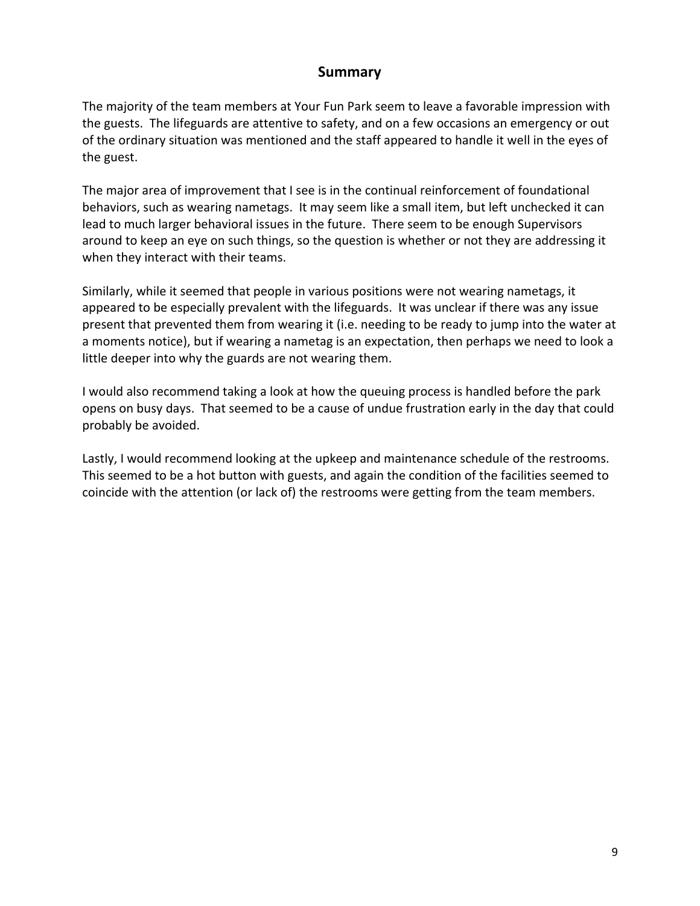## **Summary**

The majority of the team members at Your Fun Park seem to leave a favorable impression with the guests. The lifeguards are attentive to safety, and on a few occasions an emergency or out of the ordinary situation was mentioned and the staff appeared to handle it well in the eyes of the guest.

The major area of improvement that I see is in the continual reinforcement of foundational behaviors, such as wearing nametags. It may seem like a small item, but left unchecked it can lead to much larger behavioral issues in the future. There seem to be enough Supervisors around to keep an eye on such things, so the question is whether or not they are addressing it when they interact with their teams.

Similarly, while it seemed that people in various positions were not wearing nametags, it appeared to be especially prevalent with the lifeguards. It was unclear if there was any issue present that prevented them from wearing it (i.e. needing to be ready to jump into the water at a moments notice), but if wearing a nametag is an expectation, then perhaps we need to look a little deeper into why the guards are not wearing them.

I would also recommend taking a look at how the queuing process is handled before the park opens on busy days. That seemed to be a cause of undue frustration early in the day that could probably be avoided.

Lastly, I would recommend looking at the upkeep and maintenance schedule of the restrooms. This seemed to be a hot button with guests, and again the condition of the facilities seemed to coincide with the attention (or lack of) the restrooms were getting from the team members.